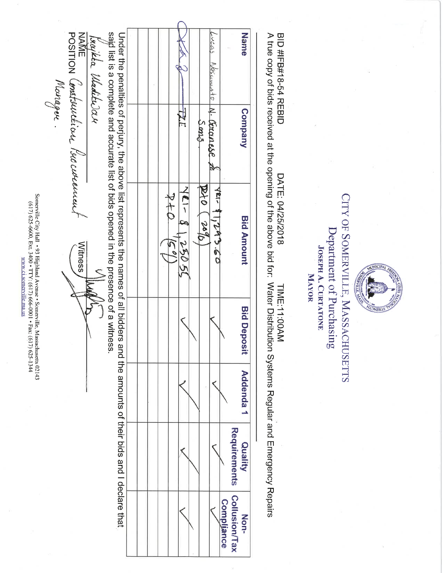| Name                                                        | <b>Company</b> | <b>Bid Amount</b>                                                                                                                                                                                                                                                                                  | <b>Bid Deposit</b> | Addenda 1 | Quality      | Non-              |
|-------------------------------------------------------------|----------------|----------------------------------------------------------------------------------------------------------------------------------------------------------------------------------------------------------------------------------------------------------------------------------------------------|--------------------|-----------|--------------|-------------------|
|                                                             |                |                                                                                                                                                                                                                                                                                                    |                    |           | Requirements | Collusion/Tax     |
|                                                             |                |                                                                                                                                                                                                                                                                                                    |                    |           |              | <b>Compliance</b> |
| bucas<br>Nascimento                                         | N. Granese 20  | YRI- 81,293.60                                                                                                                                                                                                                                                                                     |                    |           |              |                   |
|                                                             | Smoc           | 010<br><b>Dol</b>                                                                                                                                                                                                                                                                                  |                    |           |              |                   |
|                                                             |                |                                                                                                                                                                                                                                                                                                    |                    |           |              |                   |
|                                                             |                | $R - 12k$<br>25051                                                                                                                                                                                                                                                                                 |                    |           |              |                   |
|                                                             |                | $\frac{1}{2}$                                                                                                                                                                                                                                                                                      |                    |           |              |                   |
|                                                             |                |                                                                                                                                                                                                                                                                                                    |                    |           |              |                   |
|                                                             |                |                                                                                                                                                                                                                                                                                                    |                    |           |              |                   |
|                                                             |                |                                                                                                                                                                                                                                                                                                    |                    |           |              |                   |
|                                                             |                |                                                                                                                                                                                                                                                                                                    |                    |           |              |                   |
|                                                             |                | said list is a complete and accurate list of bids opened in the presence of a witness.<br>Under the above list repress of peclare the and the sumplies of all bidders are the new counts bidders and the and the society. The above list represents of all bidder and the and the and the control. |                    |           |              |                   |
| begikta Wadituder                                           |                |                                                                                                                                                                                                                                                                                                    |                    |           |              |                   |
| IVAIVIE<br>POSITION Constaurérian Parocurean<br><b>NAME</b> |                | Witness                                                                                                                                                                                                                                                                                            |                    |           |              |                   |
| Manager.                                                    |                |                                                                                                                                                                                                                                                                                                    |                    |           |              |                   |
|                                                             |                |                                                                                                                                                                                                                                                                                                    |                    |           |              |                   |

**JOSEPH A. CURTATONE** MAYOR

CITY OF SOMERVILLE, MASSACHUSETTS Department of Purchasing

**RVILLE** N

**LESKIENCY** 

BID #IFB#18-54 REBID  $\ddot{}}$ DATE: 04/25/2018<br>DATE: 04/25/2018 .<br>...<br>h NADE:11:00AM<br>TIME:11:00AM Ć 1 J

Somerville City Hall • 93 Highland Avenue • Somerville, Massachusetts 02143 (617) 625-6600, Ext. 3400 • TTY: (617) 666-0001 • Fax: (617) 625-1344 www.ci.somerville.ma.us